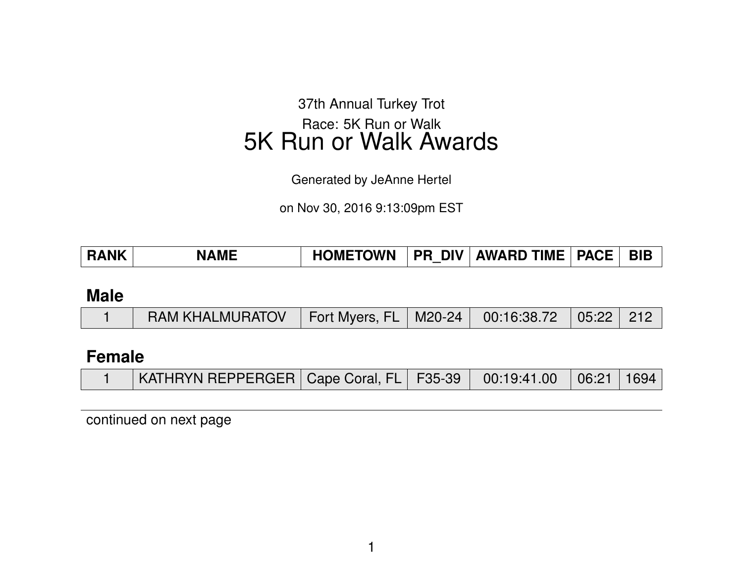37th Annual Turkey Trot Race: 5K Run or Walk 5K Run or Walk Awards

Generated by JeAnne Hertel

on Nov 30, 2016 9:13:09pm EST

| <b>RANK</b> | <b>NAME</b> | <b>HOMETOWN</b> | . DIV<br><b>PR</b> | <b>AWARD TIME</b> | <b>PACE</b> |  |
|-------------|-------------|-----------------|--------------------|-------------------|-------------|--|

#### **Male**

|  | │ RAM KHALMURATOV │ Fort Myers, FL │ M20-24 │ 00:16:38.72 │ 05:22 │ 212 │ |
|--|---------------------------------------------------------------------------|
|--|---------------------------------------------------------------------------|

## **Female**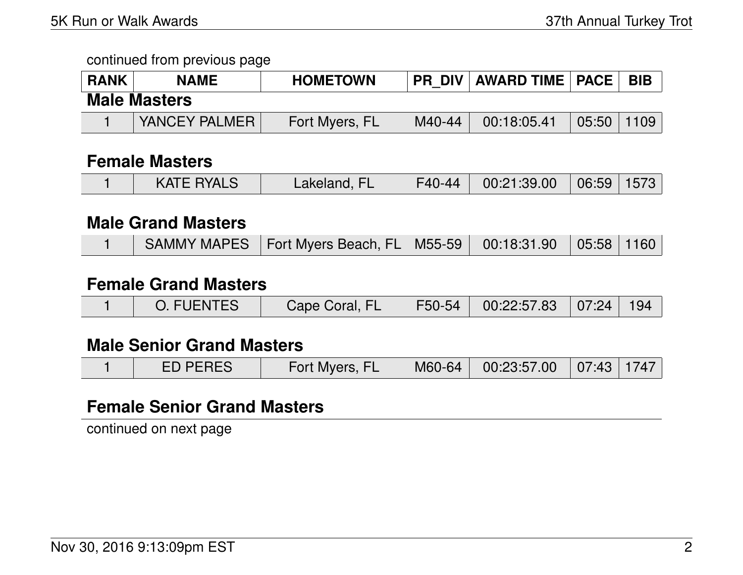| <b>RANK</b> | <b>NAME</b>         | <b>HOMETOWN</b> | <b>PR DIV</b> | <b>AWARD TIME   PACE  </b> |                | <b>BIB</b> |  |  |
|-------------|---------------------|-----------------|---------------|----------------------------|----------------|------------|--|--|
|             | <b>Male Masters</b> |                 |               |                            |                |            |  |  |
|             | YANCEY PALMER       | Fort Myers, FL  | M40-44        | 00:18:05.41                | $05:50$   1109 |            |  |  |

#### **Female Masters**

| <b>KATE RYALS</b><br>Lakeland, FL | $00:21:39.00$ 06:59 1573<br>F40-44 |  |
|-----------------------------------|------------------------------------|--|
|-----------------------------------|------------------------------------|--|

# **Male Grand Masters**

|  |  | SAMMY MAPES   Fort Myers Beach, FL   M55-59   00:18:31.90   05:58   1160 |  |  |  |  |
|--|--|--------------------------------------------------------------------------|--|--|--|--|
|--|--|--------------------------------------------------------------------------|--|--|--|--|

# **Female Grand Masters**

|  | O. FUENTES | Cape Coral, FL |  | F50-54   00:22:57.83   07:24   194 |  |  |
|--|------------|----------------|--|------------------------------------|--|--|
|--|------------|----------------|--|------------------------------------|--|--|

## **Male Senior Grand Masters**

|  | <b>ED PERES</b> | Fort Myers, FL |  | M60-64 00:23:57.00 07:43 1747 |  |  |
|--|-----------------|----------------|--|-------------------------------|--|--|
|--|-----------------|----------------|--|-------------------------------|--|--|

## **Female Senior Grand Masters**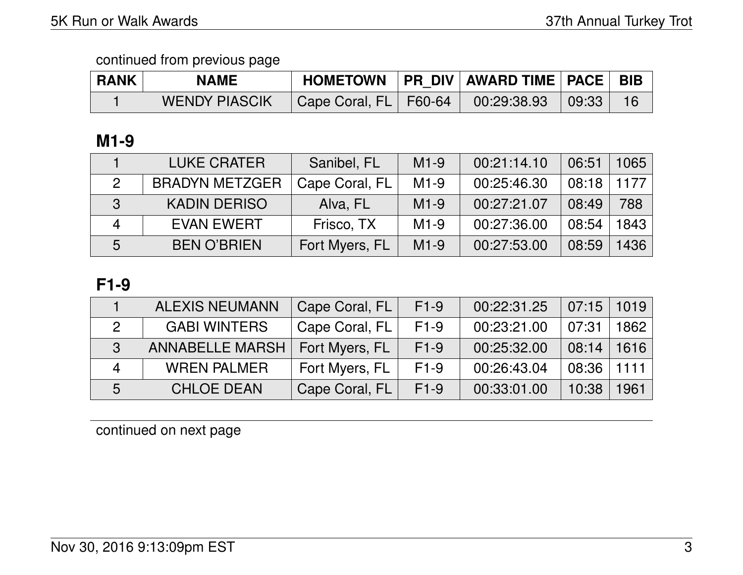| <b>RANK</b> | <b>NAME</b>          |                                               | HOMETOWN   PR DIV   AWARD TIME   PACE   BIB |  |
|-------------|----------------------|-----------------------------------------------|---------------------------------------------|--|
|             | <b>WENDY PIASCIK</b> | Cape Coral, FL   F60-64   00:29:38.93   09:33 |                                             |  |

# **M1-9**

|                | <b>LUKE CRATER</b>    | Sanibel, FL    | $M1-9$ | 00:21:14.10 | 06:51 | 1065 |
|----------------|-----------------------|----------------|--------|-------------|-------|------|
| $\mathcal{P}$  | <b>BRADYN METZGER</b> | Cape Coral, FL | $M1-9$ | 00:25:46.30 | 08:18 | 1177 |
| 3              | <b>KADIN DERISO</b>   | Alva, FL       | $M1-9$ | 00:27:21.07 | 08:49 | 788  |
| $\overline{4}$ | <b>EVAN EWERT</b>     | Frisco, TX     | $M1-9$ | 00:27:36.00 | 08:54 | 1843 |
| 5              | <b>BEN O'BRIEN</b>    | Fort Myers, FL | $M1-9$ | 00:27:53.00 | 08:59 | 1436 |

# **F1-9**

|              | <b>ALEXIS NEUMANN</b>  | Cape Coral, FL | $F1-9$ | 00:22:31.25 | 07:15 | 1019  |
|--------------|------------------------|----------------|--------|-------------|-------|-------|
|              | <b>GABI WINTERS</b>    | Cape Coral, FL | $F1-9$ | 00:23:21.00 | 07:31 | 1862  |
| $\mathbf{3}$ | <b>ANNABELLE MARSH</b> | Fort Myers, FL | $F1-9$ | 00:25:32.00 | 08:14 | 1616  |
| Δ            | <b>WREN PALMER</b>     | Fort Myers, FL | $F1-9$ | 00:26:43.04 | 08:36 | 1111. |
| 5            | <b>CHLOE DEAN</b>      | Cape Coral, FL | $F1-9$ | 00:33:01.00 | 10:38 | 1961  |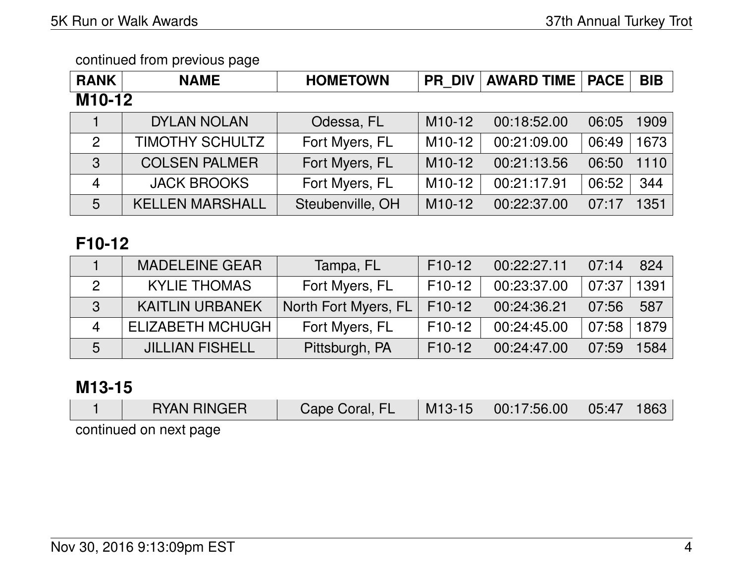| <b>RANK</b>         | <b>NAME</b>            | <b>HOMETOWN</b>  | <b>PR DIV</b>       | <b>AWARD TIME</b> | <b>PACE</b> | <b>BIB</b>    |  |  |  |
|---------------------|------------------------|------------------|---------------------|-------------------|-------------|---------------|--|--|--|
| M <sub>10</sub> -12 |                        |                  |                     |                   |             |               |  |  |  |
|                     | <b>DYLAN NOLAN</b>     | Odessa, FL       | M <sub>10</sub> -12 | 00:18:52.00       | 06:05       | 1909          |  |  |  |
| $\overline{2}$      | <b>TIMOTHY SCHULTZ</b> | Fort Myers, FL   | M <sub>10</sub> -12 | 00:21:09.00       | 06:49       | 1673          |  |  |  |
| 3                   | <b>COLSEN PALMER</b>   | Fort Myers, FL   | M <sub>10</sub> -12 | 00:21:13.56       | 06:50       | 1110          |  |  |  |
| $\overline{4}$      | <b>JACK BROOKS</b>     | Fort Myers, FL   | $M10-12$            | 00:21:17.91       | 06:52       | 344           |  |  |  |
| 5                   | <b>KELLEN MARSHALL</b> | Steubenville, OH | $M10-12$            | 00:22:37.00       | 07:17       | $ 351\rangle$ |  |  |  |

# **F10-12**

|   | <b>MADELEINE GEAR</b>     | Tampa, FL            | $F10-12$ | 00:22:27.11 | 07:14 | 824  |
|---|---------------------------|----------------------|----------|-------------|-------|------|
|   | <b>KYLIE THOMAS</b>       | Fort Myers, FL       | F10-12   | 00:23:37.00 | 07:37 | 1391 |
| 3 | <b>KAITLIN URBANEK</b>    | North Fort Myers, FL | $F10-12$ | 00:24:36.21 | 07:56 | 587  |
| Δ | <b>ELIZABETH MCHUGH  </b> | Fort Myers, FL       | $F10-12$ | 00:24:45.00 | 07:58 | 1879 |
| 5 | <b>JILLIAN FISHELL</b>    | Pittsburgh, PA       | $F10-12$ | 00:24:47.00 | 07:59 | 584  |

## **M13-15**

| <b>RYAN RINGER</b>     | Cape Coral, FL |  | $\vert$ M13-15 $\vert$ 00:17:56.00 $\vert$ 05:47 $\vert$ |  | $^{\circ}$ 1863 $^{\circ}$ |  |  |  |  |
|------------------------|----------------|--|----------------------------------------------------------|--|----------------------------|--|--|--|--|
| continued on novt nago |                |  |                                                          |  |                            |  |  |  |  |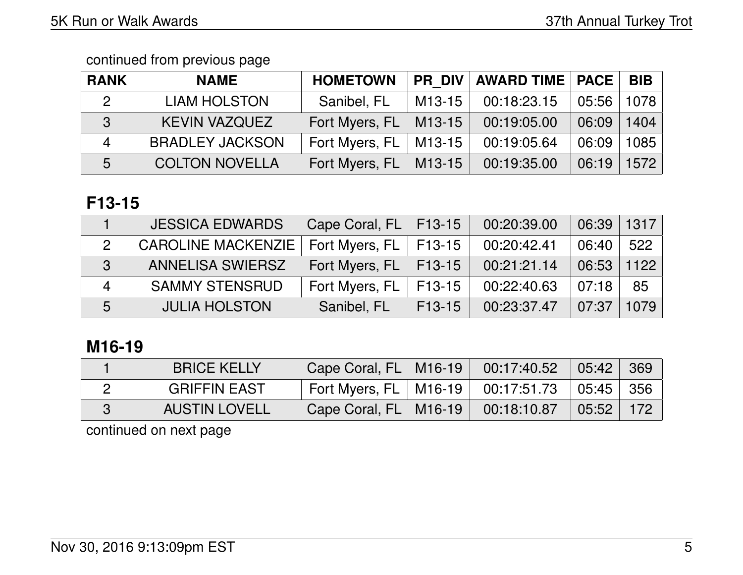| <b>RANK</b>               | <b>NAME</b>            | <b>HOMETOWN</b> | <b>PR DIV</b>       | <b>AWARD TIME   PACE</b> |       | BIB  |
|---------------------------|------------------------|-----------------|---------------------|--------------------------|-------|------|
| $\overline{2}$            | <b>LIAM HOLSTON</b>    | Sanibel, FL     | M <sub>13</sub> -15 | 00:18:23.15              | 05:56 | 1078 |
| 3                         | <b>KEVIN VAZQUEZ</b>   | Fort Myers, FL  | M <sub>13</sub> -15 | 00:19:05.00              | 06:09 | 1404 |
| $\boldsymbol{\varLambda}$ | <b>BRADLEY JACKSON</b> | Fort Myers, FL  | M <sub>13</sub> -15 | 00:19:05.64              | 06:09 | 1085 |
| 5                         | <b>COLTON NOVELLA</b>  | Fort Myers, FL  | M13-15              | 00:19:35.00              | 06:19 | 1572 |

# **F13-15**

|                          | <b>JESSICA EDWARDS</b>    | Cape Coral, FL   F13-15   |                     | 00:20:39.00 | 06:39 | 1317 |
|--------------------------|---------------------------|---------------------------|---------------------|-------------|-------|------|
| 2                        | <b>CAROLINE MACKENZIE</b> | Fort Myers, $FL$   F13-15 |                     | 00:20:42.41 | 06:40 | 522  |
| 3                        | <b>ANNELISA SWIERSZ</b>   | Fort Myers, $FL$   F13-15 |                     | 00:21:21.14 | 06:53 | 1122 |
| $\boldsymbol{\varDelta}$ | <b>SAMMY STENSRUD</b>     | Fort Myers, FL            | F13-15              | 00:22:40.63 | 07:18 | 85   |
| 5                        | <b>JULIA HOLSTON</b>      | Sanibel, FL               | F <sub>13</sub> -15 | 00:23:37.47 | 07:37 | 1079 |

# **M16-19**

| <b>BRICE KELLY</b>   | Cape Coral, $FL$   M16-19 | $00:17:40.52$ 05:42 369                                                                 |     |
|----------------------|---------------------------|-----------------------------------------------------------------------------------------|-----|
| <b>GRIFFIN EAST</b>  | Fort Myers, $FL$   M16-19 | $\vert$ 00:17:51.73 $\vert$ 05:45 $\vert$ 356 $\vert$                                   |     |
| <b>AUSTIN LOVELL</b> | Cape Coral, $FL$   M16-19 | $\begin{array}{ c c c c c }\hline \text{00:18:10.87} & \text{05:52} \hline \end{array}$ | 172 |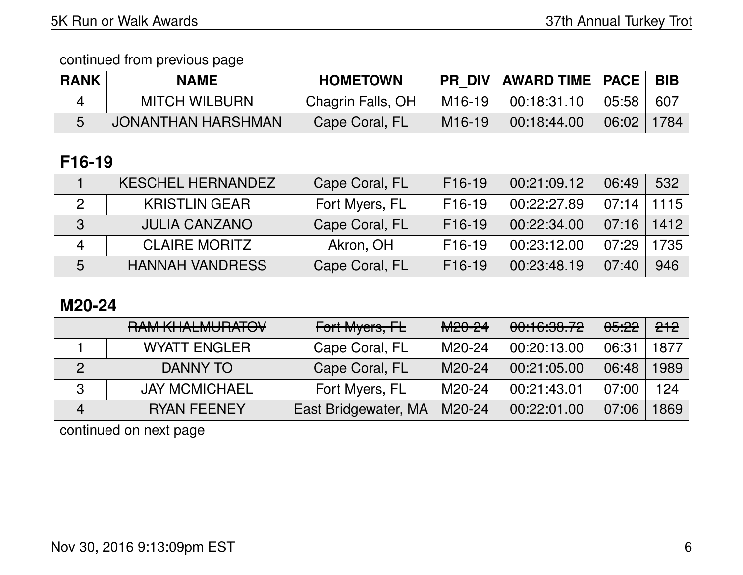| <b>RANK</b> | <b>NAME</b>          | <b>HOMETOWN</b>   |                     | PR DIV   AWARD TIME   PACE |       | <b>BIB</b> |
|-------------|----------------------|-------------------|---------------------|----------------------------|-------|------------|
|             | <b>MITCH WILBURN</b> | Chagrin Falls, OH | M16-19              | 00:18:31.10                | 05:58 | 607        |
|             | JONANTHAN HARSHMAN   | Cape Coral, FL    | M <sub>16</sub> -19 | 00:18:44.00                | 06:02 | 1784       |

# **F16-19**

|                | <b>KESCHEL HERNANDEZ</b> | Cape Coral, FL | F <sub>16</sub> -19 | 00:21:09.12 | 06:49 | 532  |
|----------------|--------------------------|----------------|---------------------|-------------|-------|------|
| 2              | <b>KRISTLIN GEAR</b>     | Fort Myers, FL | F <sub>16</sub> -19 | 00:22:27.89 | 07:14 | 1115 |
| 3              | <b>JULIA CANZANO</b>     | Cape Coral, FL | F <sub>16</sub> -19 | 00:22:34.00 | 07:16 | 1412 |
| $\overline{4}$ | <b>CLAIRE MORITZ</b>     | Akron, OH      | F <sub>16</sub> -19 | 00:23:12.00 | 07:29 | 1735 |
| 5              | <b>HANNAH VANDRESS</b>   | Cape Coral, FL | F <sub>16</sub> -19 | 00:23:48.19 | 07:40 | 946  |

# **M20-24**

|   | <u>DAM IZI IAI MIIDATOVI</u><br><b>NAIVENHALIVIONATOV</b> | Fort Myers, FL       | M <sub>20</sub> -24 | 00:16:38.72 | <del>05:22</del> | <del>212</del> |
|---|-----------------------------------------------------------|----------------------|---------------------|-------------|------------------|----------------|
|   | <b>WYATT ENGLER</b>                                       | Cape Coral, FL       | M20-24              | 00:20:13.00 | 06:31            | 1877           |
|   | DANNY TO                                                  | Cape Coral, FL       | M20-24              | 00:21:05.00 | 06:48            | 1989           |
| 3 | <b>JAY MCMICHAEL</b>                                      | Fort Myers, FL       | M20-24              | 00:21:43.01 | 07:00            | 124            |
| 4 | <b>RYAN FEENEY</b>                                        | East Bridgewater, MA | M20-24              | 00:22:01.00 | 07:06            | 1869           |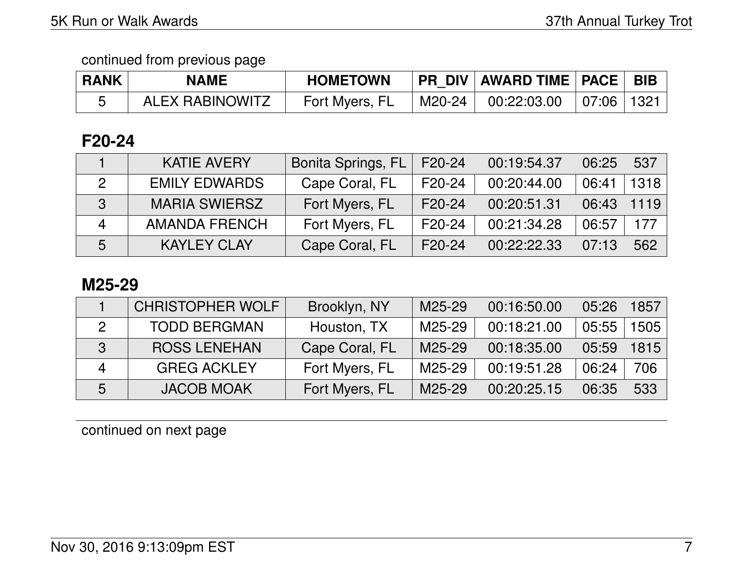| <b>RANK</b> | <b>NAME</b>            | <b>HOMETOWN</b> |        | <b>PR DIV AWARD TIME PACE BIB</b> |  |
|-------------|------------------------|-----------------|--------|-----------------------------------|--|
|             | <b>ALEX RABINOWITZ</b> | Fort Myers, FL  | M20-24 | $00:22:03.00$   07:06   1321      |  |

## **F20-24**

|   | <b>KATIE AVERY</b>   | Bonita Springs, FL | F20-24 | 00:19:54.37 | 06:25 | 537  |
|---|----------------------|--------------------|--------|-------------|-------|------|
|   | <b>EMILY EDWARDS</b> | Cape Coral, FL     | F20-24 | 00:20:44.00 | 06:41 | 1318 |
|   | <b>MARIA SWIERSZ</b> | Fort Myers, FL     | F20-24 | 00:20:51.31 | 06:43 | 1119 |
| Δ | <b>AMANDA FRENCH</b> | Fort Myers, FL     | F20-24 | 00:21:34.28 | 06:57 | 177  |
| 5 | <b>KAYLEY CLAY</b>   | Cape Coral, FL     | F20-24 | 00:22:22.33 | 07:13 | 562  |

#### **M25-29**

|   | <b>CHRISTOPHER WOLF</b> | Brooklyn, NY   | M25-29 | 00:16:50.00 | 05:26 | 857  |
|---|-------------------------|----------------|--------|-------------|-------|------|
|   | <b>TODD BERGMAN</b>     | Houston, TX    | M25-29 | 00:18:21.00 | 05:55 | 505  |
| 3 | <b>ROSS LENEHAN</b>     | Cape Coral, FL | M25-29 | 00:18:35.00 | 05:59 | 1815 |
|   | <b>GREG ACKLEY</b>      | Fort Myers, FL | M25-29 | 00:19:51.28 | 06:24 | 706  |
| 5 | <b>JACOB MOAK</b>       | Fort Myers, FL | M25-29 | 00:20:25.15 | 06:35 | 533  |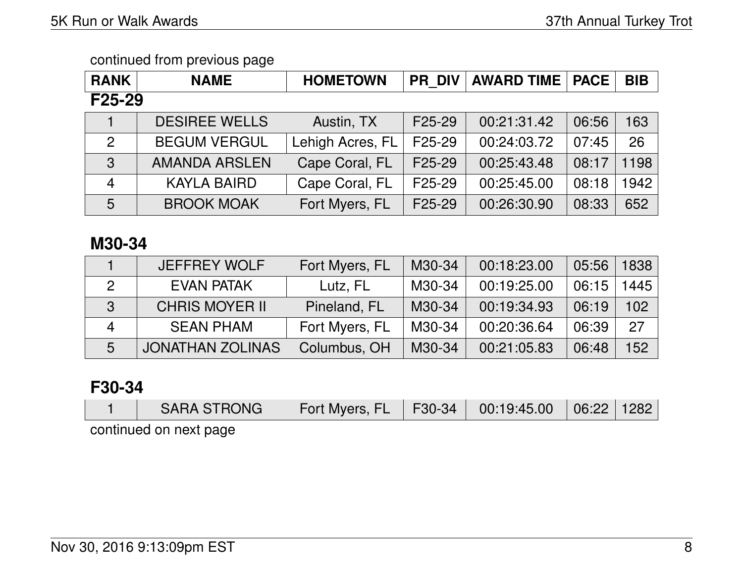| <b>RANK</b>    | <b>NAME</b>          | <b>HOMETOWN</b>  | <b>PR DIV</b>       | <b>AWARD TIME</b> | <b>PACE</b> | <b>BIB</b> |
|----------------|----------------------|------------------|---------------------|-------------------|-------------|------------|
| $F25-29$       |                      |                  |                     |                   |             |            |
|                | <b>DESIREE WELLS</b> | Austin, TX       | F <sub>25</sub> -29 | 00:21:31.42       | 06:56       | 163        |
| $\overline{2}$ | <b>BEGUM VERGUL</b>  | Lehigh Acres, FL | F <sub>25</sub> -29 | 00:24:03.72       | 07:45       | 26         |
| 3              | <b>AMANDA ARSLEN</b> | Cape Coral, FL   | F <sub>25</sub> -29 | 00:25:43.48       | 08:17       | 1198       |
| $\overline{4}$ | <b>KAYLA BAIRD</b>   | Cape Coral, FL   | F <sub>25</sub> -29 | 00:25:45.00       | 08:18       | 1942       |
| 5              | <b>BROOK MOAK</b>    | Fort Myers, FL   | F <sub>25</sub> -29 | 00:26:30.90       | 08:33       | 652        |

# **M30-34**

|   | <b>JEFFREY WOLF</b>     | Fort Myers, FL | M30-34 | 00:18:23.00 | 05:56 | 1838 |
|---|-------------------------|----------------|--------|-------------|-------|------|
|   | <b>EVAN PATAK</b>       | Lutz, FL       | M30-34 | 00:19:25.00 | 06:15 | 1445 |
| 3 | <b>CHRIS MOYER II</b>   | Pineland, FL   | M30-34 | 00:19:34.93 | 06:19 | 102  |
| 4 | <b>SEAN PHAM</b>        | Fort Myers, FL | M30-34 | 00:20:36.64 | 06:39 | 27   |
| 5 | <b>JONATHAN ZOLINAS</b> | Columbus, OH   | M30-34 | 00:21:05.83 | 06:48 | 152  |

## **F30-34**

|                       | SARA STRONG | Fort Myers, FL   F30-34   00:19:45.00   06:22   1282 |  |  |  |  |  |  |
|-----------------------|-------------|------------------------------------------------------|--|--|--|--|--|--|
| ensa tyen no heurrimo |             |                                                      |  |  |  |  |  |  |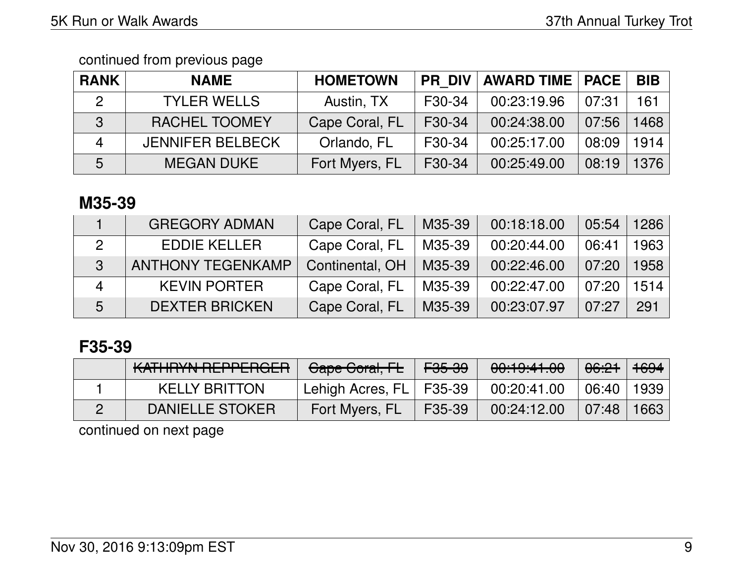| <b>RANK</b>    | <b>NAME</b>             | <b>HOMETOWN</b> | <b>PR DIV</b> | <b>AWARD TIME   PACE</b> |       | <b>BIB</b> |
|----------------|-------------------------|-----------------|---------------|--------------------------|-------|------------|
| $\overline{2}$ | <b>TYLER WELLS</b>      | Austin, TX      | F30-34        | 00:23:19.96              | 07:31 | 161        |
| 3              | <b>RACHEL TOOMEY</b>    | Cape Coral, FL  | F30-34        | 00:24:38.00              | 07:56 | 1468       |
| $\mathbf 4$    | <b>JENNIFER BELBECK</b> | Orlando, FL     | F30-34        | 00:25:17.00              | 08:09 | 1914       |
| 5              | <b>MEGAN DUKE</b>       | Fort Myers, FL  | F30-34        | 00:25:49.00              | 08:19 | 1376       |

# **M35-39**

|   | <b>GREGORY ADMAN</b>     | Cape Coral, FL  | M35-39 | 00:18:18.00 | 05:54 | 1286 |
|---|--------------------------|-----------------|--------|-------------|-------|------|
|   | <b>EDDIE KELLER</b>      | Cape Coral, FL  | M35-39 | 00:20:44.00 | 06:41 | 1963 |
| 3 | <b>ANTHONY TEGENKAMP</b> | Continental, OH | M35-39 | 00:22:46.00 | 07:20 | 1958 |
| 4 | <b>KEVIN PORTER</b>      | Cape Coral, FL  | M35-39 | 00:22:47.00 | 07:20 | 1514 |
| 5 | <b>DEXTER BRICKEN</b>    | Cape Coral, FL  | M35-39 | 00:23:07.97 | 07:27 | 291  |

# **F35-39**

| KATHRYN REPPERGER    | Cape Coral, FL            | $\mathsf{F}$ <del>05-39</del> | 00:19:41.00 | <del>06:21</del> 1 <del>694</del> |      |
|----------------------|---------------------------|-------------------------------|-------------|-----------------------------------|------|
| <b>KELLY BRITTON</b> | Lehigh Acres, FL   F35-39 |                               | 00:20:41.00 | 06:40   1939                      |      |
| DANIELLE STOKER      | Fort Myers, FL            | F35-39                        | 00:24:12.00 | $\vert 07:48 \vert$               | 1663 |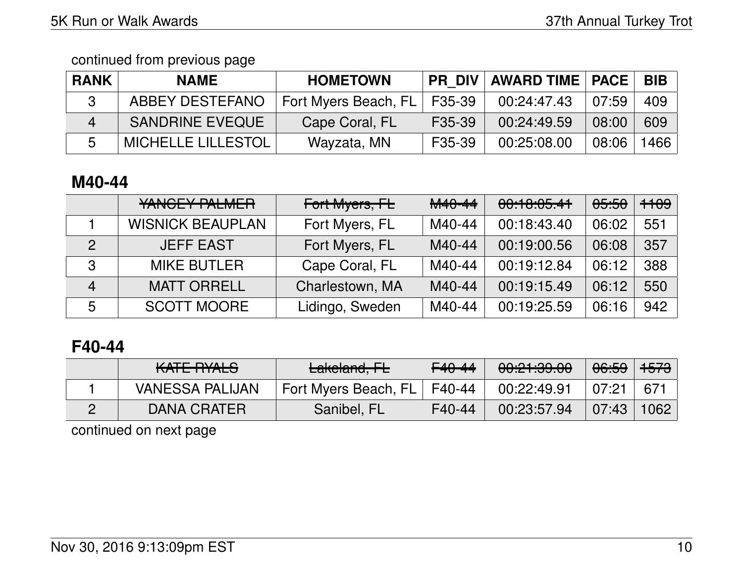| <b>RANK</b> | <b>NAME</b>               | <b>HOMETOWN</b>               |        | <b>PR DIV   AWARD TIME   PACE</b> |       | BIB  |
|-------------|---------------------------|-------------------------------|--------|-----------------------------------|-------|------|
|             | ABBEY DESTEFANO           | Fort Myers Beach, FL   F35-39 |        | 00:24:47.43                       | 07:59 | 409  |
| $\Delta$    | <b>SANDRINE EVEQUE</b>    | Cape Coral, FL                | F35-39 | 00:24:49.59                       | 08:00 | 609  |
| 5           | <b>MICHELLE LILLESTOL</b> | Wayzata, MN                   | F35-39 | 00:25:08.00                       | 08:06 | 1466 |

# **M40-44**

|                | YANGEY PALMER           | Fort Myers, FL  | M40-44 | 00:18:05.41 | <del>05:50</del> | <del>1109</del> |
|----------------|-------------------------|-----------------|--------|-------------|------------------|-----------------|
|                | <b>WISNICK BEAUPLAN</b> | Fort Myers, FL  | M40-44 | 00:18:43.40 | 06:02            | 551             |
| $\mathcal{P}$  | <b>JEFF EAST</b>        | Fort Myers, FL  | M40-44 | 00:19:00.56 | 06:08            | 357             |
| 3              | <b>MIKE BUTLER</b>      | Cape Coral, FL  | M40-44 | 00:19:12.84 | 06:12            | 388             |
| $\overline{4}$ | <b>MATT ORRELL</b>      | Charlestown, MA | M40-44 | 00:19:15.49 | 06:12            | 550             |
| 5              | <b>SCOTT MOORE</b>      | Lidingo, Sweden | M40-44 | 00:19:25.59 | 06:16            | 942             |

# **F40-44**

| <u>VATE DVALO</u><br><b>NATE TUALO</b> | Lakeland, FL         | $F40-44$ | 0.01.000<br><del>uu.ch.uu</del> | 06:59 | <del>1573</del> |
|----------------------------------------|----------------------|----------|---------------------------------|-------|-----------------|
| <b>VANESSA PALIJAN</b>                 | Fort Myers Beach, FL | F40-44   | 00:22:49.91                     | 07:21 | 671             |
| <b>DANA CRATER</b>                     | Sanibel, FL          | F40-44   | 00:23:57.94                     | 07:43 | 1062            |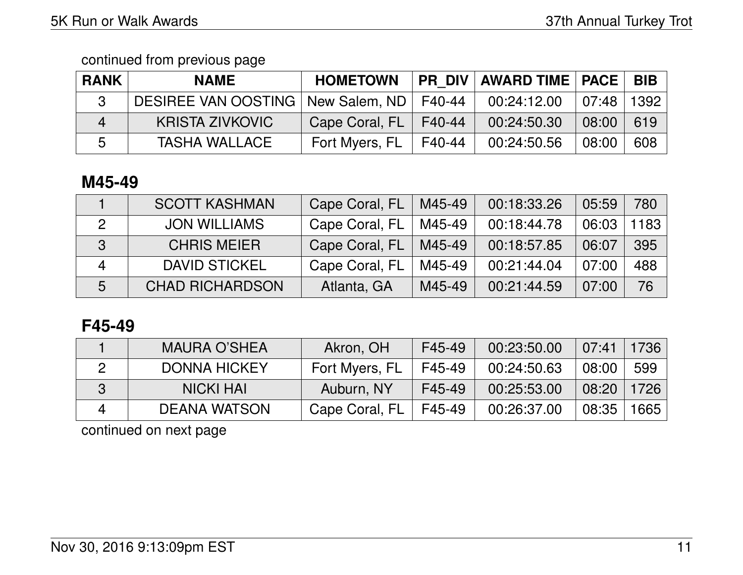| <b>RANK</b> | <b>NAME</b>                                  | <b>HOMETOWN</b> |        | PR DIV   AWARD TIME   PACE |                              | <b>BIB</b> |
|-------------|----------------------------------------------|-----------------|--------|----------------------------|------------------------------|------------|
|             | DESIREE VAN OOSTING   New Salem, ND   F40-44 |                 |        | 00:24:12.00                | $\pm$ 07:48 $\pm$ 1392 $\pm$ |            |
| 4           | KRISTA ZIVKOVIC                              | Cape Coral, FL  | F40-44 | 00:24:50.30                | 08:00                        | 619        |
| 5           | <b>TASHA WALLACE</b>                         | Fort Myers, FL  | F40-44 | 00:24:50.56                | 08:00                        | 608        |

# **M45-49**

|   | <b>SCOTT KASHMAN</b>   | Cape Coral, FL | M45-49 | 00:18:33.26 | 05:59 | 780  |
|---|------------------------|----------------|--------|-------------|-------|------|
|   | <b>JON WILLIAMS</b>    | Cape Coral, FL | M45-49 | 00:18:44.78 | 06:03 | 1183 |
| 3 | <b>CHRIS MEIER</b>     | Cape Coral, FL | M45-49 | 00:18:57.85 | 06:07 | 395  |
| 4 | <b>DAVID STICKEL</b>   | Cape Coral, FL | M45-49 | 00:21:44.04 | 07:00 | 488  |
| 5 | <b>CHAD RICHARDSON</b> | Atlanta, GA    | M45-49 | 00:21:44.59 | 07:00 | 76   |

# **F45-49**

|   | <b>MAURA O'SHEA</b> | Akron, OH      | F45-49 | 00:23:50.00 | $07:41$   1736 |      |
|---|---------------------|----------------|--------|-------------|----------------|------|
|   | <b>DONNA HICKEY</b> | Fort Myers, FL | F45-49 | 00:24:50.63 | 08:00          | 599  |
| 3 | <b>NICKI HAI</b>    | Auburn, NY     | F45-49 | 00:25:53.00 | 08:20          | 1726 |
|   | <b>DEANA WATSON</b> | Cape Coral, FL | F45-49 | 00:26:37.00 | 08:35          | 1665 |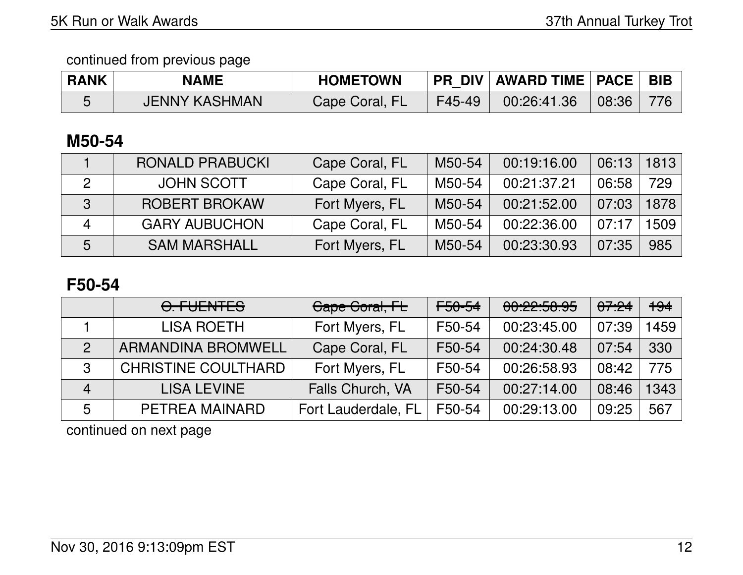| <b>RANK</b> | <b>NAME</b>          | <b>HOMETOWN</b> |        | PR DIV   AWARD TIME   PACE   BIB |       |  |
|-------------|----------------------|-----------------|--------|----------------------------------|-------|--|
|             | <b>JENNY KASHMAN</b> | Cape Coral, FL  | F45-49 | 00:26:41.36                      | 08:36 |  |

# **M50-54**

|            | <b>RONALD PRABUCKI</b> | Cape Coral, FL | M50-54 | 00:19:16.00 | 06:13 | 1813 |
|------------|------------------------|----------------|--------|-------------|-------|------|
|            | <b>JOHN SCOTT</b>      | Cape Coral, FL | M50-54 | 00:21:37.21 | 06:58 | 729  |
| $\sqrt{3}$ | <b>ROBERT BROKAW</b>   | Fort Myers, FL | M50-54 | 00:21:52.00 | 07:03 | 1878 |
|            | <b>GARY AUBUCHON</b>   | Cape Coral, FL | M50-54 | 00:22:36.00 | 07:17 | 1509 |
| 5          | <b>SAM MARSHALL</b>    | Fort Myers, FL | M50-54 | 00:23:30.93 | 07:35 | 985  |

# **F50-54**

|                | <u>A FUENTER</u><br>$U_{\cdot}$ , $U_{\cdot}$ , $U_{\cdot}$ , $U_{\cdot}$ , $U_{\cdot}$ , $U_{\cdot}$ , $U_{\cdot}$ , $U_{\cdot}$ , $U_{\cdot}$ , $U_{\cdot}$ , $U_{\cdot}$ , $U_{\cdot}$ , $U_{\cdot}$ , $U_{\cdot}$ , $U_{\cdot}$ , $U_{\cdot}$ , $U_{\cdot}$ , $U_{\cdot}$ , $U_{\cdot}$ , $U_{\cdot}$ , $U_{\cdot}$ , $U_{\cdot}$ , | Gape Goral, FL      | <del>F50-54</del> | 00:22:58.95 | <del>07:24</del> | +94  |
|----------------|-----------------------------------------------------------------------------------------------------------------------------------------------------------------------------------------------------------------------------------------------------------------------------------------------------------------------------------------|---------------------|-------------------|-------------|------------------|------|
|                | <b>LISA ROETH</b>                                                                                                                                                                                                                                                                                                                       | Fort Myers, FL      | F50-54            | 00:23:45.00 | 07:39            | 1459 |
| $\mathcal{P}$  | <b>ARMANDINA BROMWELL</b>                                                                                                                                                                                                                                                                                                               | Cape Coral, FL      | F50-54            | 00:24:30.48 | 07:54            | 330  |
| 3              | <b>CHRISTINE COULTHARD</b>                                                                                                                                                                                                                                                                                                              | Fort Myers, FL      | F50-54            | 00:26:58.93 | 08:42            | 775  |
| $\overline{4}$ | <b>LISA LEVINE</b>                                                                                                                                                                                                                                                                                                                      | Falls Church, VA    | F50-54            | 00:27:14.00 | 08:46            | 1343 |
| 5              | PETREA MAINARD                                                                                                                                                                                                                                                                                                                          | Fort Lauderdale, FL | F50-54            | 00:29:13.00 | 09:25            | 567  |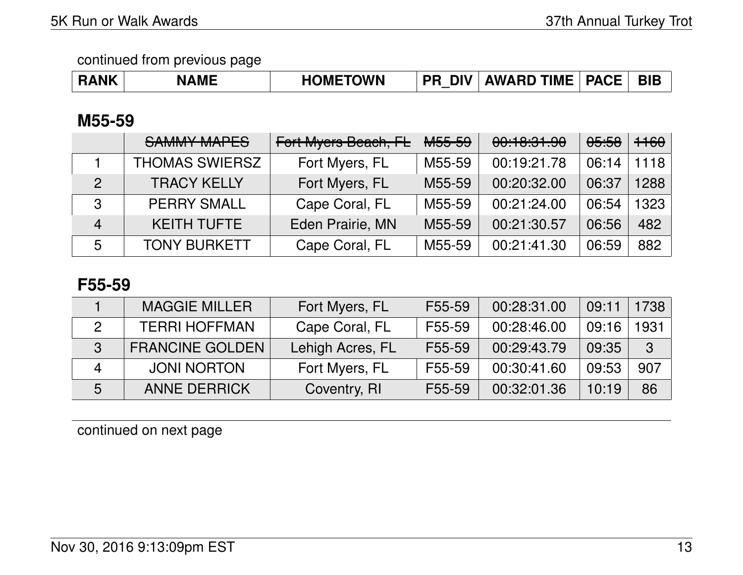|  | <b>RANK</b> | <b>NAME</b> | <b>HOMETOWN</b> | <b>PR DIV</b> | AWARD TIME   PACE |  | <b>BIE</b> |
|--|-------------|-------------|-----------------|---------------|-------------------|--|------------|
|--|-------------|-------------|-----------------|---------------|-------------------|--|------------|

## **M55-59**

|                | <b>SAMMY MAPES</b>    | Fort Myers Beach, FL | <b>M55-59</b> | 00:10:31.90 | <del>05:58</del> | <del>1160</del> |
|----------------|-----------------------|----------------------|---------------|-------------|------------------|-----------------|
|                | <b>THOMAS SWIERSZ</b> | Fort Myers, FL       | M55-59        | 00:19:21.78 | 06:14            | 1118            |
| $\mathcal{P}$  | <b>TRACY KELLY</b>    | Fort Myers, FL       | M55-59        | 00:20:32.00 | 06:37            | 1288            |
| 3              | <b>PERRY SMALL</b>    | Cape Coral, FL       | M55-59        | 00:21:24.00 | 06:54            | 1323            |
| $\overline{4}$ | <b>KEITH TUFTE</b>    | Eden Prairie, MN     | M55-59        | 00:21:30.57 | 06:56            | 482             |
| 5              | <b>TONY BURKETT</b>   | Cape Coral, FL       | M55-59        | 00:21:41.30 | 06:59            | 882             |

## **F55-59**

|   | <b>MAGGIE MILLER</b>   | Fort Myers, FL   | F55-59              | 00:28:31.00 | 09:11 | 1738         |
|---|------------------------|------------------|---------------------|-------------|-------|--------------|
|   | <b>TERRI HOFFMAN</b>   | Cape Coral, FL   | F55-59              | 00:28:46.00 | 09:16 | 931          |
| 3 | <b>FRANCINE GOLDEN</b> | Lehigh Acres, FL | F <sub>55</sub> -59 | 00:29:43.79 | 09:35 | $\mathbf{3}$ |
|   | <b>JONI NORTON</b>     | Fort Myers, FL   | F55-59              | 00:30:41.60 | 09:53 | 907          |
| 5 | <b>ANNE DERRICK</b>    | Coventry, RI     | F55-59              | 00:32:01.36 | 10:19 | 86           |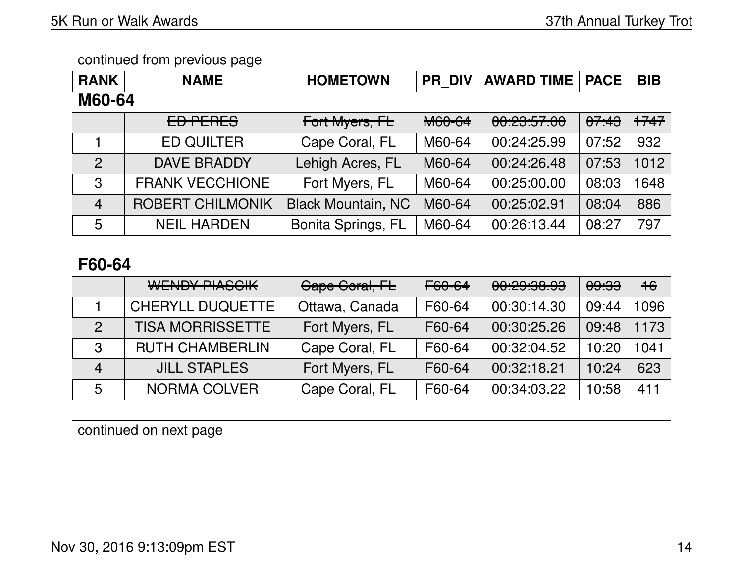| <b>RANK</b>    | <b>NAME</b>             | <b>HOMETOWN</b>           | <b>PR DIV</b> | <b>AWARD TIME</b> | <b>PACE</b> | <b>BIB</b> |
|----------------|-------------------------|---------------------------|---------------|-------------------|-------------|------------|
| M60-64         |                         |                           |               |                   |             |            |
|                | ED PERES                | Fort Myers, FL            | <b>M60-64</b> | 00:29:57.00       | 07:43       | $+747$     |
|                | <b>ED QUILTER</b>       | Cape Coral, FL            | M60-64        | 00:24:25.99       | 07:52       | 932        |
| $\mathcal{P}$  | <b>DAVE BRADDY</b>      | Lehigh Acres, FL          | M60-64        | 00:24:26.48       | 07:53       | 1012       |
| $\mathbf{3}$   | <b>FRANK VECCHIONE</b>  | Fort Myers, FL            | M60-64        | 00:25:00.00       | 08:03       | 1648       |
| $\overline{4}$ | <b>ROBERT CHILMONIK</b> | <b>Black Mountain, NC</b> | M60-64        | 00:25:02.91       | 08:04       | 886        |
| 5              | <b>NEIL HARDEN</b>      | <b>Bonita Springs, FL</b> | M60-64        | 00:26:13.44       | 08:27       | 797        |

# **F60-64**

|                | <b>WENDY PIASCIK</b>    | Cape Coral, FL | F60-64 | <u><u>aa.ga.ga ag</u></u><br><u>UU.CJ.UU.JJ</u> | <del>09:33</del> | $+6$ |
|----------------|-------------------------|----------------|--------|-------------------------------------------------|------------------|------|
|                | <b>CHERYLL DUQUETTE</b> | Ottawa, Canada | F60-64 | 00:30:14.30                                     | 09:44            | 1096 |
| $\mathcal{P}$  | <b>TISA MORRISSETTE</b> | Fort Myers, FL | F60-64 | 00:30:25.26                                     | 09:48            | 1173 |
| 3              | <b>RUTH CHAMBERLIN</b>  | Cape Coral, FL | F60-64 | 00:32:04.52                                     | 10:20            | 1041 |
| $\overline{4}$ | <b>JILL STAPLES</b>     | Fort Myers, FL | F60-64 | 00:32:18.21                                     | 10:24            | 623  |
| 5              | <b>NORMA COLVER</b>     | Cape Coral, FL | F60-64 | 00:34:03.22                                     | 10:58            | 411  |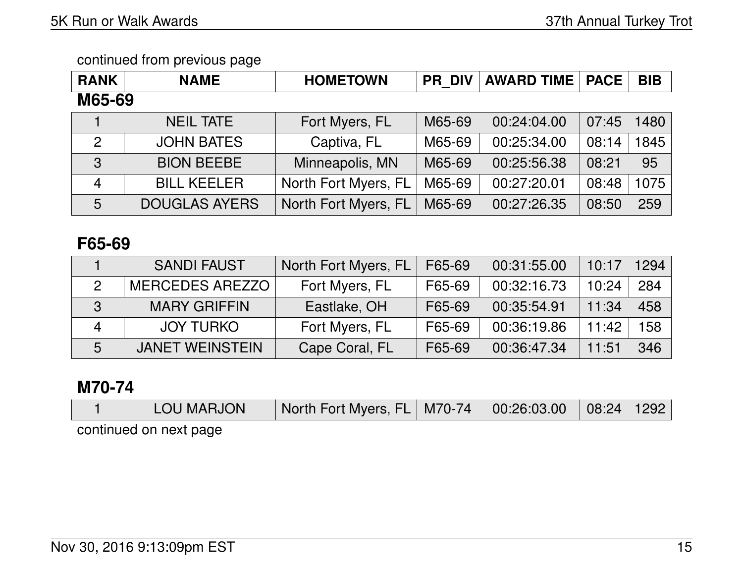| <b>RANK</b>    | <b>NAME</b>          | <b>HOMETOWN</b>      | <b>PR DIV</b> | <b>AWARD TIME</b> | <b>PACE</b> | <b>BIB</b> |  |  |  |  |
|----------------|----------------------|----------------------|---------------|-------------------|-------------|------------|--|--|--|--|
|                | M65-69               |                      |               |                   |             |            |  |  |  |  |
|                | <b>NEIL TATE</b>     | Fort Myers, FL       | M65-69        | 00:24:04.00       | 07:45       | 1480       |  |  |  |  |
| $\overline{2}$ | <b>JOHN BATES</b>    | Captiva, FL          | M65-69        | 00:25:34.00       | 08:14       | 1845       |  |  |  |  |
| 3              | <b>BION BEEBE</b>    | Minneapolis, MN      | M65-69        | 00:25:56.38       | 08:21       | 95         |  |  |  |  |
| $\overline{4}$ | <b>BILL KEELER</b>   | North Fort Myers, FL | M65-69        | 00:27:20.01       | 08:48       | 1075       |  |  |  |  |
| 5              | <b>DOUGLAS AYERS</b> | North Fort Myers, FL | M65-69        | 00:27:26.35       | 08:50       | 259        |  |  |  |  |

# **F65-69**

|   | <b>SANDI FAUST</b>     | North Fort Myers, FL | F65-69 | 00:31:55.00 | 10:17 | 1294 |
|---|------------------------|----------------------|--------|-------------|-------|------|
| 2 | <b>MERCEDES AREZZO</b> | Fort Myers, FL       | F65-69 | 00:32:16.73 | 10:24 | 284  |
| 3 | <b>MARY GRIFFIN</b>    | Eastlake, OH         | F65-69 | 00:35:54.91 | 11:34 | 458  |
| 4 | <b>JOY TURKO</b>       | Fort Myers, FL       | F65-69 | 00:36:19.86 | 11:42 | 158  |
| 5 | <b>JANET WEINSTEIN</b> | Cape Coral, FL       | F65-69 | 00:36:47.34 | 11:51 | 346  |

## **M70-74**

|                        | <b>LOU MARJON</b> | North Fort Myers, FL   M70-74   00:26:03.00   08:24   1292 |  |  |
|------------------------|-------------------|------------------------------------------------------------|--|--|
| continued on next page |                   |                                                            |  |  |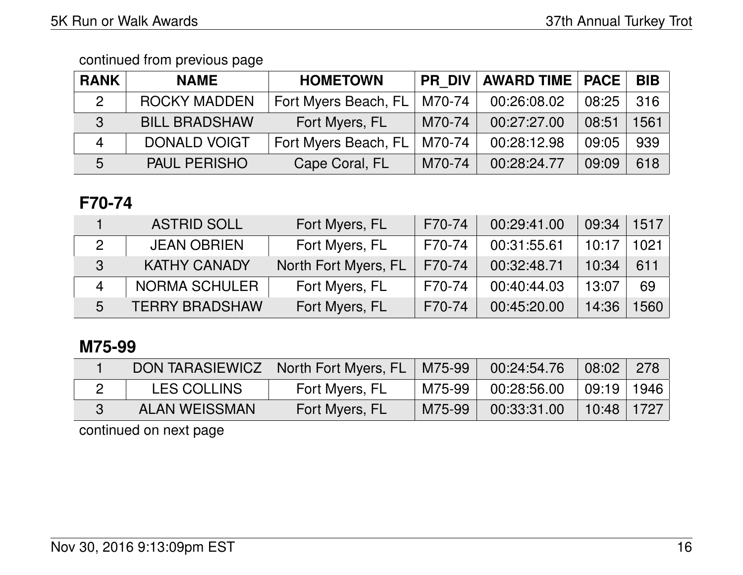| <b>RANK</b>              | <b>NAME</b>          | <b>HOMETOWN</b>      | <b>PR DIV</b> | <b>AWARD TIME   PACE</b> |       | <b>BIB</b> |
|--------------------------|----------------------|----------------------|---------------|--------------------------|-------|------------|
| $\overline{2}$           | <b>ROCKY MADDEN</b>  | Fort Myers Beach, FL | M70-74        | 00:26:08.02              | 08:25 | 316        |
| 3                        | <b>BILL BRADSHAW</b> | Fort Myers, FL       | M70-74        | 00:27:27.00              | 08:51 | 1561       |
| $\boldsymbol{\varDelta}$ | <b>DONALD VOIGT</b>  | Fort Myers Beach, FL | M70-74        | 00:28:12.98              | 09:05 | 939        |
| 5                        | <b>PAUL PERISHO</b>  | Cape Coral, FL       | M70-74        | 00:28:24.77              | 09:09 | 618        |

# **F70-74**

|   | <b>ASTRID SOLL</b>    | Fort Myers, FL       | F70-74 | 00:29:41.00 | 09:34 | 1517 |
|---|-----------------------|----------------------|--------|-------------|-------|------|
| 2 | <b>JEAN OBRIEN</b>    | Fort Myers, FL       | F70-74 | 00:31:55.61 | 10:17 | 1021 |
| 3 | <b>KATHY CANADY</b>   | North Fort Myers, FL | F70-74 | 00:32:48.71 | 10:34 | 611  |
| Δ | NORMA SCHULER         | Fort Myers, FL       | F70-74 | 00:40:44.03 | 13:07 | 69   |
| 5 | <b>TERRY BRADSHAW</b> | Fort Myers, FL       | F70-74 | 00:45:20.00 | 14:36 | 1560 |

# **M75-99**

| <b>DON TARASIEWICZ</b> | North Fort Myers, FL   M75-99 |        | 00:24:54.76 | 08:02          | 278 |
|------------------------|-------------------------------|--------|-------------|----------------|-----|
| <b>LES COLLINS</b>     | Fort Myers, FL                | M75-99 | 00:28:56.00 | 09:19 1946     |     |
| ALAN WEISSMAN          | Fort Myers, FL                | M75-99 | 00:33:31.00 | $10:48$   1727 |     |